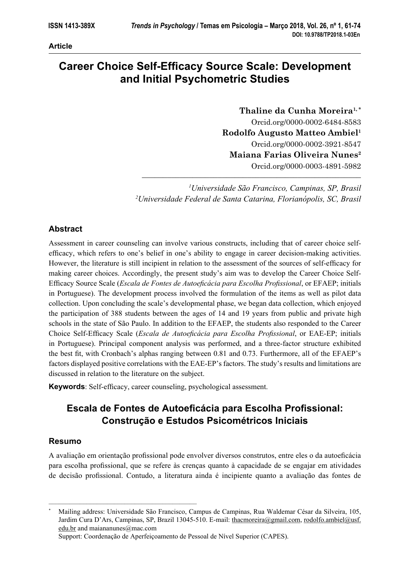#### **Article**

# **Career Choice Self-Efficacy Source Scale: Development and Initial Psychometric Studies**

**Thaline da Cunha Moreira1, \*** Orcid.org/0000-0002-6484-8583 **Rodolfo Augusto Matteo Ambiel1** Orcid.org/0000-0002-3921-8547 **Maiana Farias Oliveira Nunes2** Orcid.org/0000-0003-4891-5982

*1 Universidade São Francisco, Campinas, SP, Brasil 2 Universidade Federal de Santa Catarina, Florianópolis, SC, Brasil*

––––––––––––––––––––––––––––––––––––––––––––––––––––

## **Abstract**

Assessment in career counseling can involve various constructs, including that of career choice selfefficacy, which refers to one's belief in one's ability to engage in career decision-making activities. However, the literature is still incipient in relation to the assessment of the sources of self-efficacy for making career choices. Accordingly, the present study's aim was to develop the Career Choice Self-Efficacy Source Scale (*Escala de Fontes de Autoeficácia para Escolha Profissional*, or EFAEP; initials in Portuguese). The development process involved the formulation of the items as well as pilot data collection. Upon concluding the scale's developmental phase, we began data collection, which enjoyed the participation of 388 students between the ages of 14 and 19 years from public and private high schools in the state of São Paulo. In addition to the EFAEP, the students also responded to the Career Choice Self-Efficacy Scale (*Escala de Autoeficácia para Escolha Profissional*, or EAE-EP; initials in Portuguese). Principal component analysis was performed, and a three-factor structure exhibited the best fit, with Cronbach's alphas ranging between 0.81 and 0.73. Furthermore, all of the EFAEP's factors displayed positive correlations with the EAE-EP's factors. The study's results and limitations are discussed in relation to the literature on the subject.

**Keywords**: Self-efficacy, career counseling, psychological assessment.

# **Escala de Fontes de Autoeficácia para Escolha Profissional: Construção e Estudos Psicométricos Iniciais**

## **Resumo**

A avaliação em orientação profissional pode envolver diversos construtos, entre eles o da autoeficácia para escolha profi ssional, que se refere às crenças quanto à capacidade de se engajar em atividades de decisão profissional. Contudo, a literatura ainda é incipiente quanto a avaliação das fontes de

Support: Coordenação de Aperfeiçoamento de Pessoal de Nível Superior (CAPES).

–––––––––––––––––––––––––––––––––––––––––––

<sup>\*</sup> Mailing address: Universidade São Francisco, Campus de Campinas, Rua Waldemar César da Silveira, 105, Jardim Cura D'Ars, Campinas, SP, Brazil 13045-510. E-mail: thacmoreira@gmail.com, rodolfo.ambiel@usf. edu.br and maiananunes@mac.com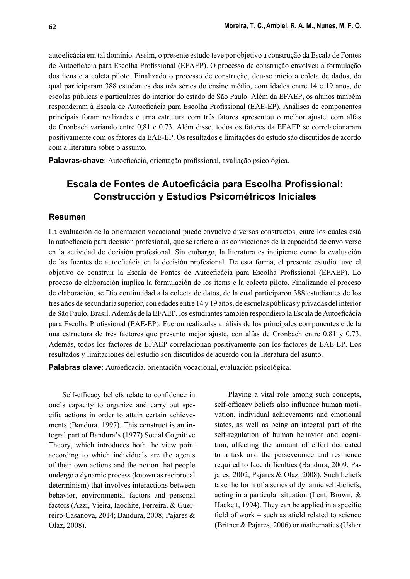autoefi cácia em tal domínio. Assim, o presente estudo teve por objetivo a construção da Escala de Fontes de Autoeficácia para Escolha Profissional (EFAEP). O processo de construção envolveu a formulação dos itens e a coleta piloto. Finalizado o processo de construção, deu-se início a coleta de dados, da qual participaram 388 estudantes das três séries do ensino médio, com idades entre 14 e 19 anos, de escolas públicas e particulares do interior do estado de São Paulo. Além da EFAEP, os alunos também responderam à Escala de Autoeficácia para Escolha Profissional (EAE-EP). Análises de componentes principais foram realizadas e uma estrutura com três fatores apresentou o melhor ajuste, com alfas de Cronbach variando entre 0,81 e 0,73. Além disso, todos os fatores da EFAEP se correlacionaram positivamente com os fatores da EAE-EP. Os resultados e limitações do estudo são discutidos de acordo com a literatura sobre o assunto.

Palavras-chave: Autoeficácia, orientação profissional, avaliação psicológica.

# **Escala de Fontes de Autoeficácia para Escolha Profissional: Construcción y Estudios Psicométricos Iniciales**

#### **Resumen**

La evaluación de la orientación vocacional puede envuelve diversos constructos, entre los cuales está la autoeficacia para decisión profesional, que se refiere a las convicciones de la capacidad de envolverse en la actividad de decisión profesional. Sin embargo, la literatura es incipiente como la evaluación de las fuentes de autoeficácia en la decisión profesional. De esta forma, el presente estudio tuvo el objetivo de construir la Escala de Fontes de Autoeficácia para Escolha Profissional (EFAEP). Lo proceso de elaboración implica la formulación de los ítems e la colecta piloto. Finalizando el proceso de elaboración, se Dio continuidad a la colecta de datos, de la cual participaron 388 estudiantes de los tres años de secundaria superior, con edades entre 14 y 19 años, de escuelas públicas y privadas del interior de São Paulo, Brasil. Además de la EFAEP, los estudiantes también respondiero la Escala de Autoeficácia para Escolha Profissional (EAE-EP). Fueron realizadas análisis de los principales componentes e de la una estructura de tres factores que presentó mejor ajuste, con alfas de Cronbach entre 0.81 y 0.73. Además, todos los factores de EFAEP correlacionan positivamente con los factores de EAE-EP. Los resultados y limitaciones del estudio son discutidos de acuerdo con la literatura del asunto.

Palabras clave: Autoeficacia, orientación vocacional, evaluación psicológica.

Self-efficacy beliefs relate to confidence in one's capacity to organize and carry out specific actions in order to attain certain achievements (Bandura, 1997). This construct is an integral part of Bandura's (1977) Social Cognitive Theory, which introduces both the view point according to which individuals are the agents of their own actions and the notion that people undergo a dynamic process (known as reciprocal determinism) that involves interactions between behavior, environmental factors and personal factors (Azzi, Vieira, Iaochite, Ferreira, & Guerreiro-Casanova, 2014; Bandura, 2008; Pajares & Olaz, 2008).

Playing a vital role among such concepts, self-efficacy beliefs also influence human motivation, individual achievements and emotional states, as well as being an integral part of the self-regulation of human behavior and cognition, affecting the amount of effort dedicated to a task and the perseverance and resilience required to face difficulties (Bandura, 2009; Pajares, 2002; Pajares & Olaz, 2008). Such beliefs take the form of a series of dynamic self-beliefs, acting in a particular situation (Lent, Brown, & Hackett, 1994). They can be applied in a specific field of work – such as afield related to science (Britner & Pajares, 2006) or mathematics (Usher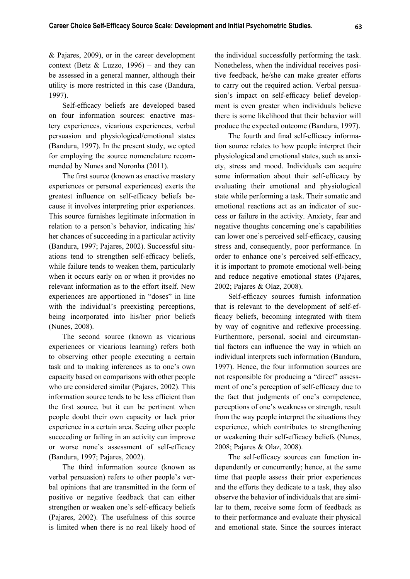& Pajares, 2009), or in the career development context (Betz  $& Luzzo, 1996$ ) – and they can be assessed in a general manner, although their utility is more restricted in this case (Bandura, 1997).

Self-efficacy beliefs are developed based on four information sources: enactive mastery experiences, vicarious experiences, verbal persuasion and physiological/emotional states (Bandura, 1997). In the present study, we opted for employing the source nomenclature recommended by Nunes and Noronha (2011).

The first source (known as enactive mastery experiences or personal experiences) exerts the greatest influence on self-efficacy beliefs because it involves interpreting prior experiences. This source furnishes legitimate information in relation to a person's behavior, indicating his/ her chances of succeeding in a particular activity (Bandura, 1997; Pajares, 2002). Successful situations tend to strengthen self-efficacy beliefs, while failure tends to weaken them, particularly when it occurs early on or when it provides no relevant information as to the effort itself. New experiences are apportioned in "doses" in line with the individual's preexisting perceptions, being incorporated into his/her prior beliefs (Nunes, 2008).

The second source (known as vicarious experiences or vicarious learning) refers both to observing other people executing a certain task and to making inferences as to one's own capacity based on comparisons with other people who are considered similar (Pajares, 2002). This information source tends to be less efficient than the first source, but it can be pertinent when people doubt their own capacity or lack prior experience in a certain area. Seeing other people succeeding or failing in an activity can improve or worse none's assessment of self-efficacy (Bandura, 1997; Pajares, 2002).

The third information source (known as verbal persuasion) refers to other people's verbal opinions that are transmitted in the form of positive or negative feedback that can either strengthen or weaken one's self-efficacy beliefs (Pajares, 2002). The usefulness of this source is limited when there is no real likely hood of the individual successfully performing the task. Nonetheless, when the individual receives positive feedback, he/she can make greater efforts to carry out the required action. Verbal persuasion's impact on self-efficacy belief development is even greater when individuals believe there is some likelihood that their behavior will produce the expected outcome (Bandura, 1997).

The fourth and final self-efficacy information source relates to how people interpret their physiological and emotional states, such as anxiety, stress and mood. Individuals can acquire some information about their self-efficacy by evaluating their emotional and physiological state while performing a task. Their somatic and emotional reactions act as an indicator of success or failure in the activity. Anxiety, fear and negative thoughts concerning one's capabilities can lower one's perceived self-efficacy, causing stress and, consequently, poor performance. In order to enhance one's perceived self-efficacy, it is important to promote emotional well-being and reduce negative emotional states (Pajares, 2002; Pajares & Olaz, 2008).

Self-efficacy sources furnish information that is relevant to the development of self-efficacy beliefs, becoming integrated with them by way of cognitive and reflexive processing. Furthermore, personal, social and circumstantial factors can influence the way in which an individual interprets such information (Bandura, 1997). Hence, the four information sources are not responsible for producing a "direct" assessment of one's perception of self-efficacy due to the fact that judgments of one's competence, perceptions of one's weakness or strength, result from the way people interpret the situations they experience, which contributes to strengthening or weakening their self-efficacy beliefs (Nunes, 2008; Pajares & Olaz, 2008).

The self-efficacy sources can function independently or concurrently; hence, at the same time that people assess their prior experiences and the efforts they dedicate to a task, they also observe the behavior of individuals that are similar to them, receive some form of feedback as to their performance and evaluate their physical and emotional state. Since the sources interact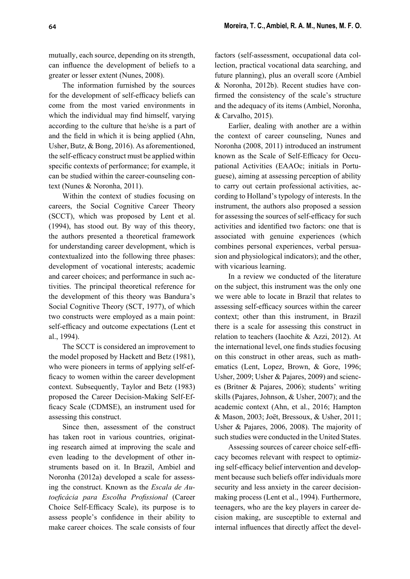mutually, each source, depending on its strength, can influence the development of beliefs to a greater or lesser extent (Nunes, 2008).

The information furnished by the sources for the development of self-efficacy beliefs can come from the most varied environments in which the individual may find himself, varying according to the culture that he/she is a part of and the field in which it is being applied (Ahn, Usher, Butz, & Bong, 2016). As aforementioned, the self-efficacy construct must be applied within specific contexts of performance; for example, it can be studied within the career-counseling context (Nunes & Noronha, 2011).

Within the context of studies focusing on careers, the Social Cognitive Career Theory (SCCT), which was proposed by Lent et al. (1994), has stood out. By way of this theory, the authors presented a theoretical framework for understanding career development, which is contextualized into the following three phases: development of vocational interests; academic and career choices; and performance in such activities. The principal theoretical reference for the development of this theory was Bandura's Social Cognitive Theory (SCT, 1977), of which two constructs were employed as a main point: self-efficacy and outcome expectations (Lent et al., 1994).

The SCCT is considered an improvement to the model proposed by Hackett and Betz (1981), who were pioneers in terms of applying self-efficacy to women within the career development context. Subsequently, Taylor and Betz (1983) proposed the Career Decision-Making Self-Efficacy Scale (CDMSE), an instrument used for assessing this construct.

Since then, assessment of the construct has taken root in various countries, originating research aimed at improving the scale and even leading to the development of other instruments based on it. In Brazil, Ambiel and Noronha (2012a) developed a scale for assessing the construct. Known as the *Escala de Autoefi cácia para Escolha Profi ssional* (Career Choice Self-Efficacy Scale), its purpose is to assess people's confidence in their ability to make career choices. The scale consists of four

factors (self-assessment, occupational data collection, practical vocational data searching, and future planning), plus an overall score (Ambiel & Noronha, 2012b). Recent studies have confirmed the consistency of the scale's structure and the adequacy of its items (Ambiel, Noronha, & Carvalho, 2015).

Earlier, dealing with another are a within the context of career counseling, Nunes and Noronha (2008, 2011) introduced an instrument known as the Scale of Self-Efficacy for Occupational Activities (EAAOc; initials in Portuguese), aiming at assessing perception of ability to carry out certain professional activities, according to Holland's typology of interests. In the instrument, the authors also proposed a session for assessing the sources of self-efficacy for such activities and identified two factors: one that is associated with genuine experiences (which combines personal experiences, verbal persuasion and physiological indicators); and the other, with vicarious learning.

In a review we conducted of the literature on the subject, this instrument was the only one we were able to locate in Brazil that relates to assessing self-efficacy sources within the career context; other than this instrument, in Brazil there is a scale for assessing this construct in relation to teachers (Iaochite & Azzi, 2012). At the international level, one finds studies focusing on this construct in other areas, such as mathematics (Lent, Lopez, Brown, & Gore, 1996; Usher, 2009; Usher & Pajares, 2009) and sciences (Britner & Pajares, 2006); students' writing skills (Pajares, Johnson, & Usher, 2007); and the academic context (Ahn, et al., 2016; Hampton & Mason, 2003; Joët, Bressoux, & Usher, 2011; Usher & Pajares, 2006, 2008). The majority of such studies were conducted in the United States.

Assessing sources of career choice self-efficacy becomes relevant with respect to optimizing self-efficacy belief intervention and development because such beliefs offer individuals more security and less anxiety in the career decisionmaking process (Lent et al., 1994). Furthermore, teenagers, who are the key players in career decision making, are susceptible to external and internal influences that directly affect the devel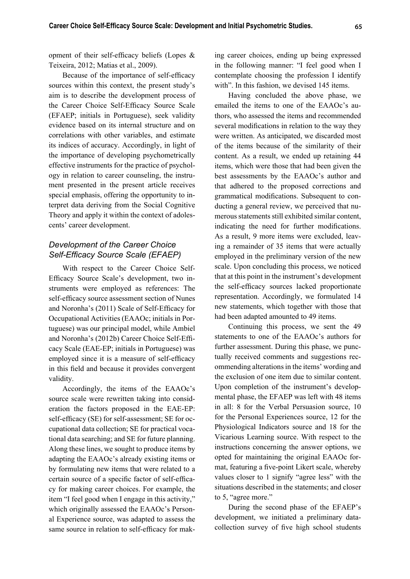opment of their self-efficacy beliefs (Lopes  $\&$ Teixeira, 2012; Matias et al., 2009).

Because of the importance of self-efficacy sources within this context, the present study's aim is to describe the development process of the Career Choice Self-Efficacy Source Scale (EFAEP; initials in Portuguese), seek validity evidence based on its internal structure and on correlations with other variables, and estimate its indices of accuracy. Accordingly, in light of the importance of developing psychometrically effective instruments for the practice of psychology in relation to career counseling, the instrument presented in the present article receives special emphasis, offering the opportunity to interpret data deriving from the Social Cognitive Theory and apply it within the context of adolescents' career development.

### *Development of the Career Choice*  Self-Efficacy Source Scale (EFAEP)

With respect to the Career Choice Self-Efficacy Source Scale's development, two instruments were employed as references: The self-efficacy source assessment section of Nunes and Noronha's (2011) Scale of Self-Efficacy for Occupational Activities (EAAOc; initials in Portuguese) was our principal model, while Ambiel and Noronha's (2012b) Career Choice Self-Effi cacy Scale (EAE-EP; initials in Portuguese) was employed since it is a measure of self-efficacy in this field and because it provides convergent validity.

Accordingly, the items of the EAAOc's source scale were rewritten taking into consideration the factors proposed in the EAE-EP: self-efficacy (SE) for self-assessment; SE for occupational data collection; SE for practical vocational data searching; and SE for future planning. Along these lines, we sought to produce items by adapting the EAAOc's already existing items or by formulating new items that were related to a certain source of a specific factor of self-efficacy for making career choices. For example, the item "I feel good when I engage in this activity," which originally assessed the EAAOc's Personal Experience source, was adapted to assess the same source in relation to self-efficacy for making career choices, ending up being expressed in the following manner: "I feel good when I contemplate choosing the profession I identify with". In this fashion, we devised 145 items.

Having concluded the above phase, we emailed the items to one of the EAAOc's authors, who assessed the items and recommended several modifications in relation to the way they were written. As anticipated, we discarded most of the items because of the similarity of their content. As a result, we ended up retaining 44 items, which were those that had been given the best assessments by the EAAOc's author and that adhered to the proposed corrections and grammatical modifications. Subsequent to conducting a general review, we perceived that numerous statements still exhibited similar content, indicating the need for further modifications. As a result, 9 more items were excluded, leaving a remainder of 35 items that were actually employed in the preliminary version of the new scale. Upon concluding this process, we noticed that at this point in the instrument's development the self-efficacy sources lacked proportionate representation. Accordingly, we formulated 14 new statements, which together with those that had been adapted amounted to 49 items.

Continuing this process, we sent the 49 statements to one of the EAAOc's authors for further assessment. During this phase, we punctually received comments and suggestions recommending alterations in the items' wording and the exclusion of one item due to similar content. Upon completion of the instrument's developmental phase, the EFAEP was left with 48 items in all: 8 for the Verbal Persuasion source, 10 for the Personal Experiences source, 12 for the Physiological Indicators source and 18 for the Vicarious Learning source. With respect to the instructions concerning the answer options, we opted for maintaining the original EAAOc format, featuring a five-point Likert scale, whereby values closer to 1 signify "agree less" with the situations described in the statements; and closer to 5, "agree more."

During the second phase of the EFAEP's development, we initiated a preliminary datacollection survey of five high school students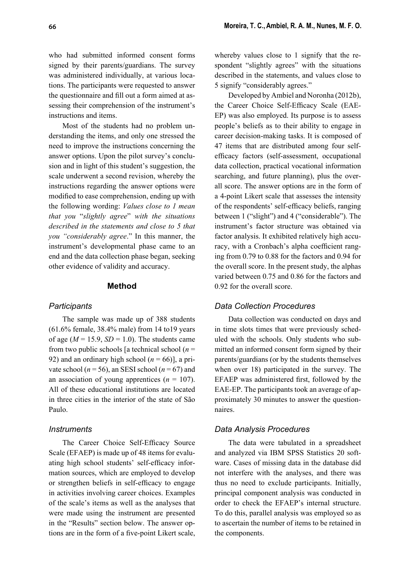who had submitted informed consent forms signed by their parents/guardians. The survey was administered individually, at various locations. The participants were requested to answer the questionnaire and fill out a form aimed at assessing their comprehension of the instrument's instructions and items.

Most of the students had no problem understanding the items, and only one stressed the need to improve the instructions concerning the answer options. Upon the pilot survey's conclusion and in light of this student's suggestion, the scale underwent a second revision, whereby the instructions regarding the answer options were modified to ease comprehension, ending up with the following wording: *Values close to 1 mean that you* "*slightly agree*" *with the situations described in the statements and close to 5 that you "considerably agree*." In this manner, the instrument's developmental phase came to an end and the data collection phase began, seeking other evidence of validity and accuracy.

#### **Method**

#### *Participants*

The sample was made up of 388 students (61.6% female, 38.4% male) from 14 to19 years of age  $(M = 15.9, SD = 1.0)$ . The students came from two public schools [a technical school (*n* = 92) and an ordinary high school  $(n = 66)$ ], a private school ( $n = 56$ ), an SESI school ( $n = 67$ ) and an association of young apprentices  $(n = 107)$ . All of these educational institutions are located in three cities in the interior of the state of São Paulo.

#### *Instruments*

The Career Choice Self-Efficacy Source Scale (EFAEP) is made up of 48 items for evaluating high school students' self-efficacy information sources, which are employed to develop or strengthen beliefs in self-efficacy to engage in activities involving career choices. Examples of the scale's items as well as the analyses that were made using the instrument are presented in the "Results" section below. The answer options are in the form of a five-point Likert scale, whereby values close to 1 signify that the respondent "slightly agrees" with the situations described in the statements, and values close to 5 signify "considerably agrees."

Developed by Ambiel and Noronha (2012b), the Career Choice Self-Efficacy Scale (EAE-EP) was also employed. Its purpose is to assess people's beliefs as to their ability to engage in career decision-making tasks. It is composed of 47 items that are distributed among four selfefficacy factors (self-assessment, occupational data collection, practical vocational information searching, and future planning), plus the overall score. The answer options are in the form of a 4-point Likert scale that assesses the intensity of the respondents' self-efficacy beliefs, ranging between 1 ("slight") and 4 ("considerable"). The instrument's factor structure was obtained via factor analysis. It exhibited relatively high accuracy, with a Cronbach's alpha coefficient ranging from 0.79 to 0.88 for the factors and 0.94 for the overall score. In the present study, the alphas varied between 0.75 and 0.86 for the factors and 0.92 for the overall score.

### *Data Collection Procedures*

Data collection was conducted on days and in time slots times that were previously scheduled with the schools. Only students who submitted an informed consent form signed by their parents/guardians (or by the students themselves when over 18) participated in the survey. The EFAEP was administered first, followed by the EAE-EP. The participants took an average of approximately 30 minutes to answer the questionnaires.

#### *Data Analysis Procedures*

The data were tabulated in a spreadsheet and analyzed via IBM SPSS Statistics 20 software. Cases of missing data in the database did not interfere with the analyses, and there was thus no need to exclude participants. Initially, principal component analysis was conducted in order to check the EFAEP's internal structure. To do this, parallel analysis was employed so as to ascertain the number of items to be retained in the components.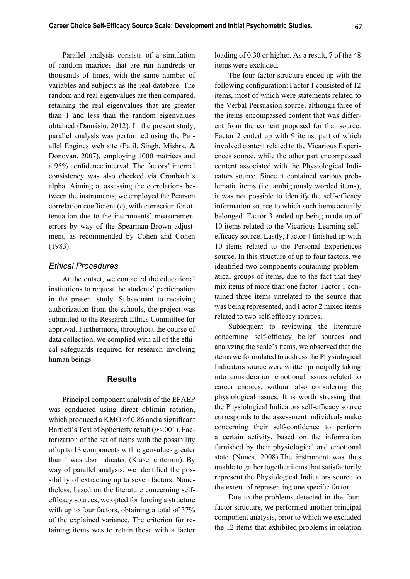Parallel analysis consists of a simulation of random matrices that are run hundreds or thousands of times, with the same number of variables and subjects as the real database. The random and real eigenvalues are then compared, retaining the real eigenvalues that are greater than 1 and less than the random eigenvalues obtained (Damásio, 2012). In the present study, parallel analysis was performed using the Parallel Engines web site (Patil, Singh, Mishra, & Donovan, 2007), employing 1000 matrices and a 95% confidence interval. The factors' internal consistency was also checked via Cronbach's alpha. Aiming at assessing the correlations between the instruments, we employed the Pearson correlation coefficient  $(r)$ , with correction for attenuation due to the instruments' measurement errors by way of the Spearman-Brown adjustment, as recommended by Cohen and Cohen (1983).

#### *Ethical Procedures*

At the outset, we contacted the educational institutions to request the students' participation in the present study. Subsequent to receiving authorization from the schools, the project was submitted to the Research Ethics Committee for approval. Furthermore, throughout the course of data collection, we complied with all of the ethical safeguards required for research involving human beings.

#### **Results**

Principal component analysis of the EFAEP was conducted using direct oblimin rotation, which produced a KMO of 0.86 and a significant Bartlett's Test of Sphericity result (*p*<.001). Factorization of the set of items with the possibility of up to 13 components with eigenvalues greater than 1 was also indicated (Kaiser criterion). By way of parallel analysis, we identified the possibility of extracting up to seven factors. Nonetheless, based on the literature concerning selfefficacy sources, we opted for forcing a structure with up to four factors, obtaining a total of 37% of the explained variance. The criterion for retaining items was to retain those with a factor

loading of 0.30 or higher. As a result, 7 of the 48 items were excluded.

The four-factor structure ended up with the following configuration: Factor 1 consisted of 12 items, most of which were statements related to the Verbal Persuasion source, although three of the items encompassed content that was different from the content proposed for that source. Factor 2 ended up with 9 items, part of which involved content related to the Vicarious Experiences source, while the other part encompassed content associated with the Physiological Indicators source. Since it contained various problematic items (i.e. ambiguously worded items), it was not possible to identify the self-efficacy information source to which such items actually belonged. Factor 3 ended up being made up of 10 items related to the Vicarious Learning selfefficacy source. Lastly, Factor 4 finished up with 10 items related to the Personal Experiences source. In this structure of up to four factors, we identified two components containing problematical groups of items, due to the fact that they mix items of more than one factor. Factor 1 contained three items unrelated to the source that was being represented, and Factor 2 mixed items related to two self-efficacy sources.

Subsequent to reviewing the literature concerning self-efficacy belief sources and analyzing the scale's items, we observed that the items we formulated to address the Physiological Indicators source were written principally taking into consideration emotional issues related to career choices, without also considering the physiological issues. It is worth stressing that the Physiological Indicators self-efficacy source corresponds to the assessment individuals make concerning their self-confidence to perform a certain activity, based on the information furnished by their physiological and emotional state (Nunes, 2008).The instrument was thus unable to gather together items that satisfactorily represent the Physiological Indicators source to the extent of representing one specific factor.

Due to the problems detected in the fourfactor structure, we performed another principal component analysis, prior to which we excluded the 12 items that exhibited problems in relation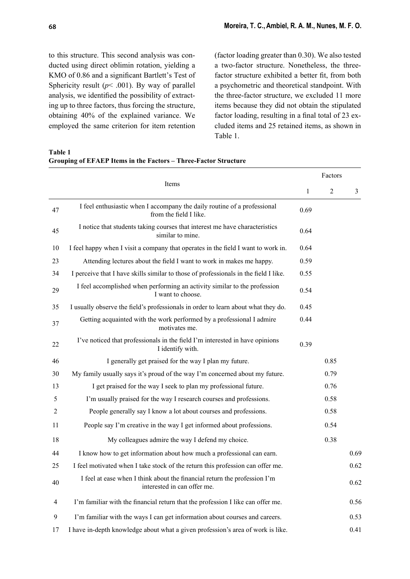(factor loading greater than 0.30). We also tested a two-factor structure. Nonetheless, the threefactor structure exhibited a better fit, from both a psychometric and theoretical standpoint. With the three-factor structure, we excluded 11 more items because they did not obtain the stipulated factor loading, resulting in a final total of 23 excluded items and 25 retained items, as shown in Table 1.

**Table 1**

**Grouping of EFAEP Items in the Factors – Three-Factor Structure**

|    |                                                                                                          |      | Factors        |                |  |  |
|----|----------------------------------------------------------------------------------------------------------|------|----------------|----------------|--|--|
|    | Items                                                                                                    | 1    | $\overline{2}$ | $\mathfrak{Z}$ |  |  |
| 47 | I feel enthusiastic when I accompany the daily routine of a professional<br>from the field I like.       | 0.69 |                |                |  |  |
| 45 | I notice that students taking courses that interest me have characteristics<br>similar to mine.          | 0.64 |                |                |  |  |
| 10 | I feel happy when I visit a company that operates in the field I want to work in.                        | 0.64 |                |                |  |  |
| 23 | Attending lectures about the field I want to work in makes me happy.                                     | 0.59 |                |                |  |  |
| 34 | I perceive that I have skills similar to those of professionals in the field I like.                     | 0.55 |                |                |  |  |
| 29 | I feel accomplished when performing an activity similar to the profession<br>I want to choose.           | 0.54 |                |                |  |  |
| 35 | I usually observe the field's professionals in order to learn about what they do.                        | 0.45 |                |                |  |  |
| 37 | Getting acquainted with the work performed by a professional I admire<br>motivates me.                   | 0.44 |                |                |  |  |
| 22 | I've noticed that professionals in the field I'm interested in have opinions<br>I identify with.         | 0.39 |                |                |  |  |
| 46 | I generally get praised for the way I plan my future.                                                    |      | 0.85           |                |  |  |
| 30 | My family usually says it's proud of the way I'm concerned about my future.                              |      | 0.79           |                |  |  |
| 13 | I get praised for the way I seek to plan my professional future.                                         |      | 0.76           |                |  |  |
| 5  | I'm usually praised for the way I research courses and professions.                                      |      | 0.58           |                |  |  |
| 2  | People generally say I know a lot about courses and professions.                                         |      | 0.58           |                |  |  |
| 11 | People say I'm creative in the way I get informed about professions.                                     |      | 0.54           |                |  |  |
| 18 | My colleagues admire the way I defend my choice.                                                         |      | 0.38           |                |  |  |
| 44 | I know how to get information about how much a professional can earn.                                    |      |                | 0.69           |  |  |
| 25 | I feel motivated when I take stock of the return this profession can offer me.                           |      |                | 0.62           |  |  |
| 40 | I feel at ease when I think about the financial return the profession I'm<br>interested in can offer me. |      |                | 0.62           |  |  |
| 4  | I'm familiar with the financial return that the profession I like can offer me.                          |      |                | 0.56           |  |  |
| 9  | I'm familiar with the ways I can get information about courses and careers.                              |      |                | 0.53           |  |  |
| 17 | I have in-depth knowledge about what a given profession's area of work is like.                          |      |                | 0.41           |  |  |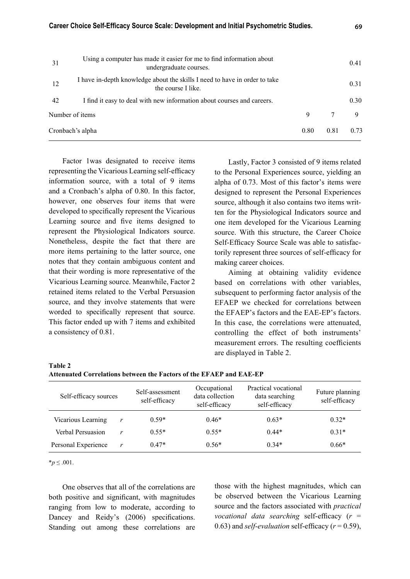| 31               | Using a computer has made it easier for me to find information about<br>undergraduate courses.   |      |      | 0.41 |
|------------------|--------------------------------------------------------------------------------------------------|------|------|------|
| 12               | I have in-depth knowledge about the skills I need to have in order to take<br>the course I like. |      |      | 0.31 |
| 42               | I find it easy to deal with new information about courses and careers.                           |      |      | 0.30 |
| Number of items  |                                                                                                  | 9    | 7    | 9    |
| Cronbach's alpha |                                                                                                  | 0.80 | 0.81 | 0.73 |

Factor 1was designated to receive items representing the Vicarious Learning self-efficacy information source, with a total of 9 items and a Cronbach's alpha of 0.80. In this factor, however, one observes four items that were developed to specifically represent the Vicarious Learning source and five items designed to represent the Physiological Indicators source. Nonetheless, despite the fact that there are more items pertaining to the latter source, one notes that they contain ambiguous content and that their wording is more representative of the Vicarious Learning source. Meanwhile, Factor 2 retained items related to the Verbal Persuasion source, and they involve statements that were worded to specifically represent that source. This factor ended up with 7 items and exhibited a consistency of 0.81.

Lastly, Factor 3 consisted of 9 items related to the Personal Experiences source, yielding an alpha of 0.73. Most of this factor's items were designed to represent the Personal Experiences source, although it also contains two items written for the Physiological Indicators source and one item developed for the Vicarious Learning source. With this structure, the Career Choice Self-Efficacy Source Scale was able to satisfactorily represent three sources of self-efficacy for making career choices.

Aiming at obtaining validity evidence based on correlations with other variables, subsequent to performing factor analysis of the EFAEP we checked for correlations between the EFAEP's factors and the EAE-EP's factors. In this case, the correlations were attenuated, controlling the effect of both instruments' measurement errors. The resulting coefficients are displayed in Table 2.

| Table 2                                                             |  |
|---------------------------------------------------------------------|--|
| Attenuated Correlations between the Factors of the EFAEP and EAE-EP |  |

| Self-efficacy sources |   | Self-assessment<br>self-efficacy | Occupational<br>data collection<br>self-efficacy | Practical vocational<br>data searching<br>self-efficacy | Future planning<br>self-efficacy |
|-----------------------|---|----------------------------------|--------------------------------------------------|---------------------------------------------------------|----------------------------------|
| Vicarious Learning    | r | $0.59*$                          | $0.46*$                                          | $0.63*$                                                 | $0.32*$                          |
| Verbal Persuasion     | r | $0.55*$                          | $0.55*$                                          | $0.44*$                                                 | $0.31*$                          |
| Personal Experience   | r | $0.47*$                          | $0.56*$                                          | $0.34*$                                                 | $0.66*$                          |

\**p* ≤ .001.

One observes that all of the correlations are both positive and significant, with magnitudes ranging from low to moderate, according to Dancey and Reidy's (2006) specifications. Standing out among these correlations are those with the highest magnitudes, which can be observed between the Vicarious Learning source and the factors associated with *practical vocational data searching self-efficacy*  $(r =$ 0.63) and *self-evaluation* self-efficacy  $(r = 0.59)$ ,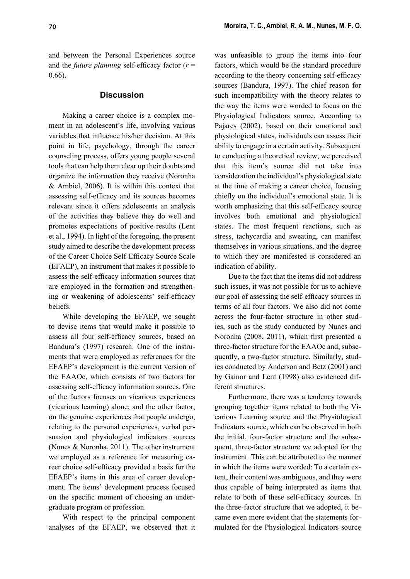and between the Personal Experiences source and the *future planning* self-efficacy factor  $(r =$ 0.66).

### **Discussion**

Making a career choice is a complex moment in an adolescent's life, involving various variables that influence his/her decision. At this point in life, psychology, through the career counseling process, offers young people several tools that can help them clear up their doubts and organize the information they receive (Noronha & Ambiel, 2006). It is within this context that assessing self-efficacy and its sources becomes relevant since it offers adolescents an analysis of the activities they believe they do well and promotes expectations of positive results (Lent et al., 1994). In light of the foregoing, the present study aimed to describe the development process of the Career Choice Self-Efficacy Source Scale (EFAEP), an instrument that makes it possible to assess the self-efficacy information sources that are employed in the formation and strengthening or weakening of adolescents' self-efficacy beliefs.

While developing the EFAEP, we sought to devise items that would make it possible to assess all four self-efficacy sources, based on Bandura's (1997) research. One of the instruments that were employed as references for the EFAEP's development is the current version of the EAAOc, which consists of two factors for assessing self-efficacy information sources. One of the factors focuses on vicarious experiences (vicarious learning) alone; and the other factor, on the genuine experiences that people undergo, relating to the personal experiences, verbal persuasion and physiological indicators sources (Nunes & Noronha, 2011). The other instrument we employed as a reference for measuring career choice self-efficacy provided a basis for the EFAEP's items in this area of career development. The items' development process focused on the specific moment of choosing an undergraduate program or profession.

With respect to the principal component analyses of the EFAEP, we observed that it was unfeasible to group the items into four factors, which would be the standard procedure according to the theory concerning self-efficacy sources (Bandura, 1997). The chief reason for such incompatibility with the theory relates to the way the items were worded to focus on the Physiological Indicators source. According to Pajares (2002), based on their emotional and physiological states, individuals can assess their ability to engage in a certain activity. Subsequent to conducting a theoretical review, we perceived that this item's source did not take into consideration the individual's physiological state at the time of making a career choice, focusing chiefly on the individual's emotional state. It is worth emphasizing that this self-efficacy source involves both emotional and physiological states. The most frequent reactions, such as stress, tachycardia and sweating, can manifest themselves in various situations, and the degree to which they are manifested is considered an indication of ability.

Due to the fact that the items did not address such issues, it was not possible for us to achieve our goal of assessing the self-efficacy sources in terms of all four factors. We also did not come across the four-factor structure in other studies, such as the study conducted by Nunes and Noronha (2008, 2011), which first presented a three-factor structure for the EAAOc and, subsequently, a two-factor structure. Similarly, studies conducted by Anderson and Betz (2001) and by Gainor and Lent (1998) also evidenced different structures.

Furthermore, there was a tendency towards grouping together items related to both the Vicarious Learning source and the Physiological Indicators source, which can be observed in both the initial, four-factor structure and the subsequent, three-factor structure we adopted for the instrument. This can be attributed to the manner in which the items were worded: To a certain extent, their content was ambiguous, and they were thus capable of being interpreted as items that relate to both of these self-efficacy sources. In the three-factor structure that we adopted, it became even more evident that the statements formulated for the Physiological Indicators source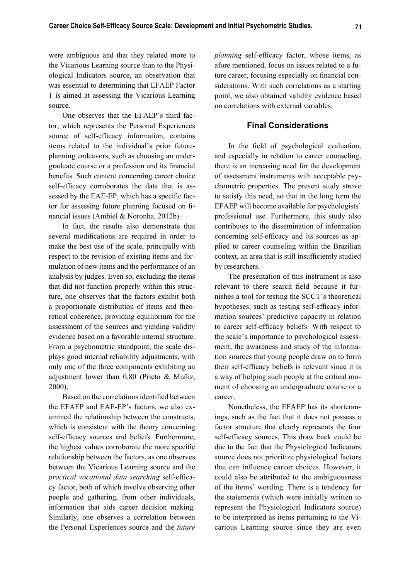were ambiguous and that they related more to the Vicarious Learning source than to the Physiological Indicators source, an observation that was essential to determining that EFAEP Factor 1 is aimed at assessing the Vicarious Learning source.

One observes that the EFAEP's third factor, which represents the Personal Experiences source of self-efficacy information, contains items related to the individual's prior futureplanning endeavors, such as choosing an undergraduate course or a profession and its financial benefits. Such content concerning career choice self-efficacy corroborates the data that is assessed by the EAE-EP, which has a specific factor for assessing future planning focused on financial issues (Ambiel & Noronha, 2012b).

In fact, the results also demonstrate that several modifications are required in order to make the best use of the scale, principally with respect to the revision of existing items and formulation of new items and the performance of an analysis by judges. Even so, excluding the items that did not function properly within this structure, one observes that the factors exhibit both a proportionate distribution of items and theoretical coherence, providing equilibrium for the assessment of the sources and yielding validity evidence based on a favorable internal structure. From a psychometric standpoint, the scale displays good internal reliability adjustments, with only one of the three components exhibiting an adjustment lower than 0.80 (Prieto & Muñiz, 2000).

Based on the correlations identified between the EFAEP and EAE-EP's factors, we also examined the relationship between the constructs, which is consistent with the theory concerning self-efficacy sources and beliefs. Furthermore, the highest values corroborate the more specific relationship between the factors, as one observes between the Vicarious Learning source and the *practical vocational data searching* self-efficacy factor, both of which involve observing other people and gathering, from other individuals, information that aids career decision making. Similarly, one observes a correlation between the Personal Experiences source and the *future* 

*planning* self-efficacy factor, whose items, as afore mentioned, focus on issues related to a future career, focusing especially on financial considerations. With such correlations as a starting point, we also obtained validity evidence based on correlations with external variables.

### **Final Considerations**

In the field of psychological evaluation, and especially in relation to career counseling, there is an increasing need for the development of assessment instruments with acceptable psychometric properties. The present study strove to satisfy this need, so that in the long term the EFAEP will become available for psychologists' professional use. Furthermore, this study also contributes to the dissemination of information concerning self-efficacy and its sources as applied to career counseling within the Brazilian context, an area that is still insufficiently studied by researchers.

The presentation of this instrument is also relevant to there search field because it furnishes a tool for testing the SCCT's theoretical hypotheses, such as testing self-efficacy information sources' predictive capacity in relation to career self-efficacy beliefs. With respect to the scale's importance to psychological assessment, the awareness and study of the information sources that young people draw on to form their self-efficacy beliefs is relevant since it is a way of helping such people at the critical moment of choosing an undergraduate course or a career.

Nonetheless, the EFAEP has its shortcomings, such as the fact that it does not possess a factor structure that clearly represents the four self-efficacy sources. This draw back could be due to the fact that the Physiological Indicators source does not prioritize physiological factors that can influence career choices. However, it could also be attributed to the ambiguousness of the items' wording. There is a tendency for the statements (which were initially written to represent the Physiological Indicators source) to be interpreted as items pertaining to the Vicarious Learning source since they are even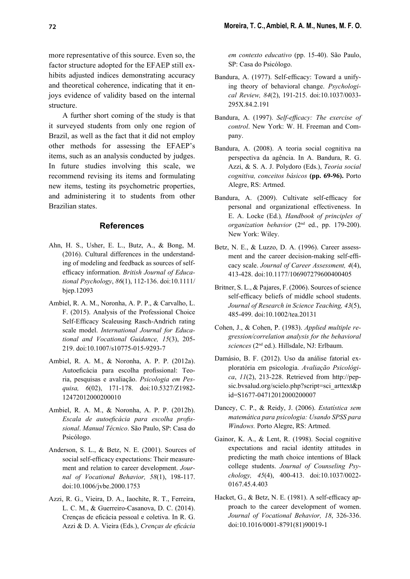more representative of this source. Even so, the factor structure adopted for the EFAEP still exhibits adjusted indices demonstrating accuracy and theoretical coherence, indicating that it enjoys evidence of validity based on the internal structure.

A further short coming of the study is that it surveyed students from only one region of Brazil, as well as the fact that it did not employ other methods for assessing the EFAEP's items, such as an analysis conducted by judges. In future studies involving this scale, we recommend revising its items and formulating new items, testing its psychometric properties, and administering it to students from other Brazilian states.

#### **References**

- Ahn, H. S., Usher, E. L., Butz, A., & Bong, M. (2016). Cultural differences in the understanding of modeling and feedback as sources of selfefficacy information. British Journal of Educa*tional Psychology*, *86*(1), 112-136. doi:10.1111/ bjep.12093
- Ambiel, R. A. M., Noronha, A. P. P., & Carvalho, L. F. (2015). Analysis of the Professional Choice Self-Efficacy Scaleusing Rasch-Andrich rating scale model. *International Journal for Educational and Vocational Guidance, 15*(3), 205- 219. doi:10.1007/s10775-015-9293-7
- Ambiel, R. A. M., & Noronha, A. P. P. (2012a). Autoeficácia para escolha profissional: Teoria, pesquisas e avaliação. *Psicologia em Pesquisa, 6*(02), 171-178. doi:10.5327/Z1982- 12472012000200010
- Ambiel, R. A. M., & Noronha, A. P. P. (2012b). Escala de autoeficácia para escolha profis*sional*. *Manual Técnico*. São Paulo, SP: Casa do Psicólogo.
- Anderson, S. L., & Betz, N. E. (2001). Sources of social self-efficacy expectations: Their measurement and relation to career development. *Journal of Vocational Behavior, 58*(1), 198-117. doi:10.1006/jvbe.2000.1753
- Azzi, R. G., Vieira, D. A., Iaochite, R. T., Ferreira, L. C. M., & Guerreiro-Casanova, D. C. (2014). Crenças de eficácia pessoal e coletiva. In R. G. Azzi & D. A. Vieira (Eds.), *Crenças de eficácia*

*em contexto educativo* (pp. 15-40). São Paulo, SP: Casa do Psicólogo.

- Bandura, A. (1977). Self-efficacy: Toward a unifying theory of behavioral change. *Psychological Review, 84*(2), 191-215. doi:10.1037/0033- 295X.84.2.191
- Bandura, A. (1997). *Self-efficacy: The exercise of control*. New York: W. H. Freeman and Company.
- Bandura, A. (2008). A teoria social cognitiva na perspectiva da agência. In A. Bandura, R. G. Azzi, & S. A. J. Polydoro (Eds.), *Teoria social cognitiva, conceitos básicos* **(pp. 69-96).** Porto Alegre, RS: Artmed.
- Bandura, A. (2009). Cultivate self-efficacy for personal and organizational effectiveness. In E. A. Locke (Ed.)*, Handbook of principles of organization behavior* (2nd ed., pp. 179-200). New York: Wiley.
- Betz, N. E., & Luzzo, D. A. (1996). Career assessment and the career decision-making self-efficacy scale. *Journal of Career Assessment, 4*(4), 413-428. doi:10.1177/106907279600400405
- Britner, S. L., & Pajares, F. (2006). Sources of science self-efficacy beliefs of middle school students. *Journal of Research in Science Teaching, 43*(5), 485-499. doi:10.1002/tea.20131
- Cohen, J., & Cohen, P. (1983). *Applied multiple regression/correlation analysis for the behavioral sciences* (2nd ed.). Hillsdale, NJ: Erlbaum.
- Damásio, B. F. (2012). Uso da análise fatorial exploratória em psicologia. *Avaliação Psicológica*, *11*(2), 213-228. Retrieved from http://pepsic.bvsalud.org/scielo.php?script=sci\_arttext&p id=S1677-04712012000200007
- Dancey, C. P., & Reidy, J. (2006). *Estatística sem matemática para psicologia: Usando SPSS para Windows.* Porto Alegre, RS: Artmed.
- Gainor, K. A., & Lent, R. (1998). Social cognitive expectations and racial identity attitudes in predicting the math choice intentions of Black college students. *Journal of Counseling Psychology, 45*(4), 400-413. doi:10.1037/0022- 0167.45.4.403
- Hacket, G., & Betz, N. E.  $(1981)$ . A self-efficacy approach to the career development of women. *Journal of Vocational Behavior, 18*, 326-336. doi:10.1016/0001-8791(81)90019-1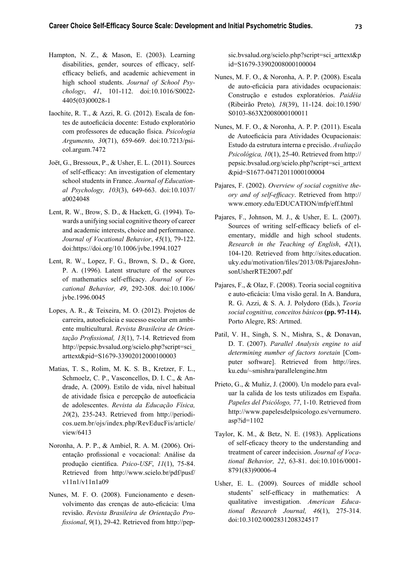- Hampton, N. Z., & Mason, E. (2003). Learning disabilities, gender, sources of efficacy, selfefficacy beliefs, and academic achievement in high school students. *Journal of School Psychology*, *41*, 101-112. doi:10.1016/S0022- 4405(03)00028-1
- Iaochite, R. T., & Azzi, R. G. (2012). Escala de fontes de autoeficácia docente: Estudo exploratório com professores de educação física. *Psicologia Argumento, 30*(71), 659-669. doi:10.7213/psicol.argum.7472
- Joët, G., Bressoux, P., & Usher, E. L. (2011). Sources of self-efficacy: An investigation of elementary school students in France. *Journal of Educational Psychology, 103*(3), 649-663. doi:10.1037/ a0024048
- Lent, R. W., Brow, S. D., & Hackett, G. (1994). Towards a unifying social cognitive theory of career and academic interests, choice and performance. *Journal of Vocational Behavior*, *45*(1), 79-122. doi: https://doi.org/10.1006/jvbe.1994.1027
- Lent, R. W., Lopez, F. G., Brown, S. D., & Gore, P. A. (1996). Latent structure of the sources of mathematics self-efficacy. *Journal of Vocational Behavior, 49*, 292-308. doi:10.1006/ jvbe.1996.0045
- Lopes, A. R., & Teixeira, M. O. (2012). Projetos de carreira, autoeficácia e sucesso escolar em ambiente multicultural. *Revista Brasileira de Orien*tação Profissional, 13(1), 7-14. Retrieved from http://pepsic.bvsalud.org/scielo.php?script=sci\_ arttext&pid=S1679-33902012000100003
- Matias, T. S., Rolim, M. K. S. B., Kretzer, F. L., Schmoelz, C. P., Vasconcellos, D. I. C., & Andrade, A. (2009). Estilo de vida, nível habitual de atividade física e percepção de autoeficácia de adolescentes. *Revista da Educação Física, 20*(2), 235-243. Retrieved from http://periodicos.uem.br/ojs/index.php/RevEducFis/article/ view/6413
- Noronha, A. P. P., & Ambiel, R. A. M. (2006). Orientação profissional e vocacional: Análise da produção científica. *Psico-USF*, 11(1), 75-84. Retrieved from http://www.scielo.br/pdf/pusf/ v11n1/v11n1a09
- Nunes, M. F. O. (2008). Funcionamento e desenvolvimento das crenças de auto-eficácia: Uma revisão. *Revista Brasileira de Orientação Profissional*, 9(1), 29-42. Retrieved from http://pep-

sic.bvsalud.org/scielo.php?script=sci\_arttext&p id=S1679-33902008000100004

- Nunes, M. F. O., & Noronha, A. P. P. (2008). Escala de auto-eficácia para atividades ocupacionais: Construção e estudos exploratórios. *Paidéia* (Ribeirão Preto)*, 18*(39), 11-124. doi:10.1590/ S0103-863X2008000100011
- Nunes, M. F. O., & Noronha, A. P. P. (2011). Escala de Autoeficácia para Atividades Ocupacionais: Estudo da estrutura interna e precisão. *Avaliação Psicológica, 10*(1), 25-40. Retrieved from http:// pepsic.bvsalud.org/scielo.php?script=sci\_arttext &pid=S1677-04712011000100004
- Pajares, F. (2002). *Overview of social cognitive theory and of self-efficacy*. Retrieved from http:// www.emory.edu/EDUCATION/mfp/eff.html
- Pajares, F., Johnson, M. J., & Usher, E. L. (2007). Sources of writing self-efficacy beliefs of elementary, middle and high school students. *Research in the Teaching of English*, *42*(1), 104-120. Retrieved from http://sites.education. uky.edu/motivation/files/2013/08/PajaresJohnsonUsherRTE2007.pdf
- Pajares, F., & Olaz, F. (2008). Teoria social cognitiva e auto-eficácia: Uma visão geral. In A. Bandura, R. G. Azzi, & S. A. J. Polydoro (Eds.), *Teoria social cognitiva, conceitos básicos* **(pp. 97-114).**  Porto Alegre, RS: Artmed.
- Patil, V. H., Singh, S. N., Mishra, S., & Donavan, D. T. (2007). *Parallel Analysis engine to aid determining number of factors toretain* [Computer software]. Retrieved from http://ires. ku.edu/~smishra/parallelengine.htm
- Prieto, G., & Muñiz, J. (2000). Un modelo para evaluar la calida de los tests utilizados em España. *Papeles del Psicólogo, 77*, 1-10. Retrieved from http://www.papelesdelpsicologo.es/vernumero. asp?id=1102
- Taylor, K. M., & Betz, N. E. (1983). Applications of self-eficacy theory to the understanding and treatment of career indecision. *Journal of Vocational Behavior, 22*, 63-81. doi:10.1016/0001- 8791(83)90006-4
- Usher, E. L. (2009). Sources of middle school students' self-efficacy in mathematics: A qualitative investigation. *American Educational Research Journal, 46*(1), 275-314. doi:10.3102/0002831208324517